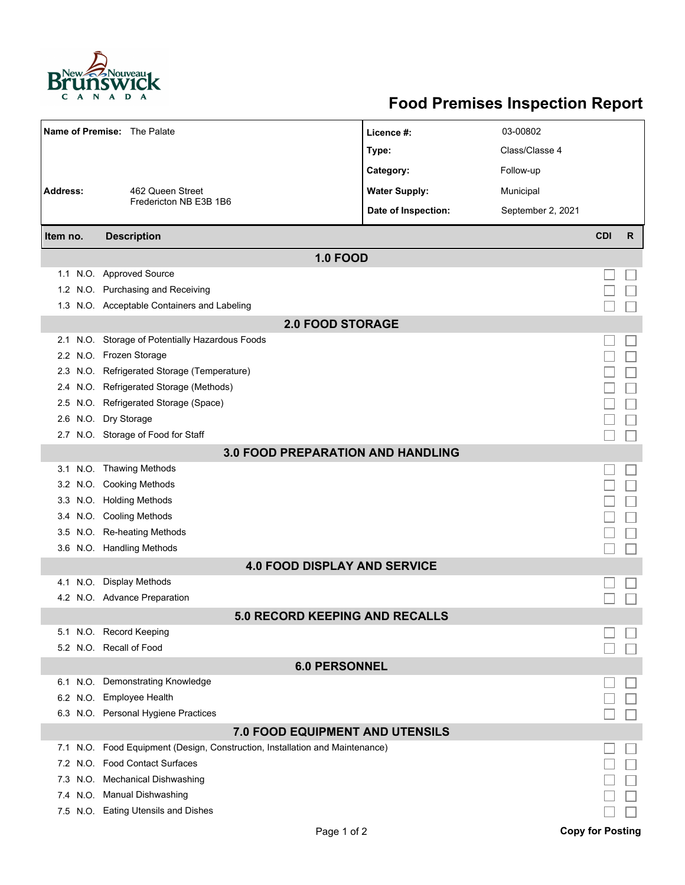

## **Food Premises Inspection Report**

| Name of Premise: The Palate         |                                                                          | Licence #:           | 03-00802          |            |   |  |  |  |  |
|-------------------------------------|--------------------------------------------------------------------------|----------------------|-------------------|------------|---|--|--|--|--|
|                                     |                                                                          | Type:                | Class/Classe 4    |            |   |  |  |  |  |
|                                     |                                                                          | Category:            | Follow-up         |            |   |  |  |  |  |
| <b>Address:</b><br>462 Queen Street |                                                                          | <b>Water Supply:</b> | Municipal         |            |   |  |  |  |  |
|                                     | Fredericton NB E3B 1B6                                                   | Date of Inspection:  | September 2, 2021 |            |   |  |  |  |  |
|                                     |                                                                          |                      |                   |            |   |  |  |  |  |
| Item no.                            | <b>Description</b>                                                       |                      |                   | <b>CDI</b> | R |  |  |  |  |
| <b>1.0 FOOD</b>                     |                                                                          |                      |                   |            |   |  |  |  |  |
|                                     | 1.1 N.O. Approved Source                                                 |                      |                   |            |   |  |  |  |  |
|                                     | 1.2 N.O. Purchasing and Receiving                                        |                      |                   |            |   |  |  |  |  |
|                                     | 1.3 N.O. Acceptable Containers and Labeling                              |                      |                   |            |   |  |  |  |  |
| <b>2.0 FOOD STORAGE</b>             |                                                                          |                      |                   |            |   |  |  |  |  |
| 2.1                                 | N.O. Storage of Potentially Hazardous Foods                              |                      |                   |            |   |  |  |  |  |
|                                     | 2.2 N.O. Frozen Storage                                                  |                      |                   |            |   |  |  |  |  |
| 2.3                                 | N.O. Refrigerated Storage (Temperature)                                  |                      |                   |            |   |  |  |  |  |
| 2.4                                 | N.O. Refrigerated Storage (Methods)                                      |                      |                   |            |   |  |  |  |  |
|                                     | 2.5 N.O. Refrigerated Storage (Space)                                    |                      |                   |            |   |  |  |  |  |
| 2.6                                 | N.O. Dry Storage                                                         |                      |                   |            |   |  |  |  |  |
|                                     | 2.7 N.O. Storage of Food for Staff                                       |                      |                   |            |   |  |  |  |  |
|                                     | <b>3.0 FOOD PREPARATION AND HANDLING</b>                                 |                      |                   |            |   |  |  |  |  |
|                                     | 3.1 N.O. Thawing Methods                                                 |                      |                   |            |   |  |  |  |  |
|                                     | 3.2 N.O. Cooking Methods                                                 |                      |                   |            |   |  |  |  |  |
|                                     | 3.3 N.O. Holding Methods                                                 |                      |                   |            |   |  |  |  |  |
|                                     | 3.4 N.O. Cooling Methods                                                 |                      |                   |            |   |  |  |  |  |
| 3.5                                 | N.O. Re-heating Methods                                                  |                      |                   |            |   |  |  |  |  |
|                                     | 3.6 N.O. Handling Methods                                                |                      |                   |            |   |  |  |  |  |
| <b>4.0 FOOD DISPLAY AND SERVICE</b> |                                                                          |                      |                   |            |   |  |  |  |  |
| N.O.<br>4.1                         | <b>Display Methods</b>                                                   |                      |                   |            |   |  |  |  |  |
|                                     | 4.2 N.O. Advance Preparation                                             |                      |                   |            |   |  |  |  |  |
|                                     | <b>5.0 RECORD KEEPING AND RECALLS</b>                                    |                      |                   |            |   |  |  |  |  |
|                                     | 5.1 N.O. Record Keeping                                                  |                      |                   |            |   |  |  |  |  |
|                                     | 5.2 N.O. Recall of Food                                                  |                      |                   |            |   |  |  |  |  |
| <b>6.0 PERSONNEL</b>                |                                                                          |                      |                   |            |   |  |  |  |  |
|                                     | 6.1 N.O. Demonstrating Knowledge                                         |                      |                   |            |   |  |  |  |  |
|                                     | 6.2 N.O. Employee Health                                                 |                      |                   |            |   |  |  |  |  |
|                                     | 6.3 N.O. Personal Hygiene Practices                                      |                      |                   |            |   |  |  |  |  |
| 7.0 FOOD EQUIPMENT AND UTENSILS     |                                                                          |                      |                   |            |   |  |  |  |  |
| 7.1                                 | N.O. Food Equipment (Design, Construction, Installation and Maintenance) |                      |                   |            |   |  |  |  |  |
| 7.2                                 | N.O. Food Contact Surfaces                                               |                      |                   |            |   |  |  |  |  |
| 7.3                                 | N.O. Mechanical Dishwashing                                              |                      |                   |            |   |  |  |  |  |
|                                     | 7.4 N.O. Manual Dishwashing                                              |                      |                   |            |   |  |  |  |  |
|                                     | 7.5 N.O. Eating Utensils and Dishes                                      |                      |                   |            |   |  |  |  |  |